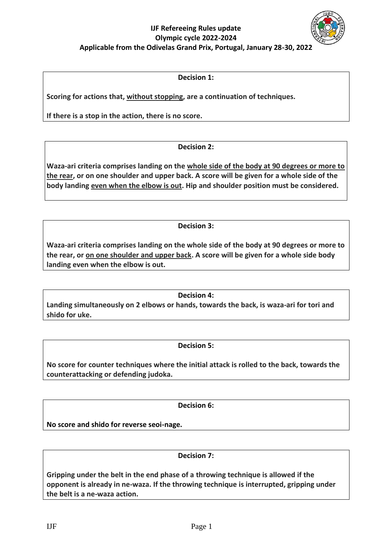# **IJF Refereeing Rules update Olympic cycle 2022-2024 Applicable from the Odivelas Grand Prix, Portugal, January 28-30, 2022**

### **Decision 1:**

**Scoring for actions that, without stopping, are a continuation of techniques.** 

**If there is a stop in the action, there is no score.**

## **Decision 2:**

**Waza-ari criteria comprises landing on the whole side of the body at 90 degrees or more to the rear, or on one shoulder and upper back. A score will be given for a whole side of the body landing even when the elbow is out. Hip and shoulder position must be considered.**

## **Decision 3:**

**Waza-ari criteria comprises landing on the whole side of the body at 90 degrees or more to the rear, or on one shoulder and upper back. A score will be given for a whole side body landing even when the elbow is out.** 

## **Decision 4:**

**Landing simultaneously on 2 elbows or hands, towards the back, is waza-ari for tori and shido for uke.**

## **Decision 5:**

**No score for counter techniques where the initial attack is rolled to the back, towards the counterattacking or defending judoka.**

## **Decision 6:**

**No score and shido for reverse seoi-nage.**

## **Decision 7:**

**Gripping under the belt in the end phase of a throwing technique is allowed if the opponent is already in ne-waza. If the throwing technique is interrupted, gripping under the belt is a ne-waza action.**